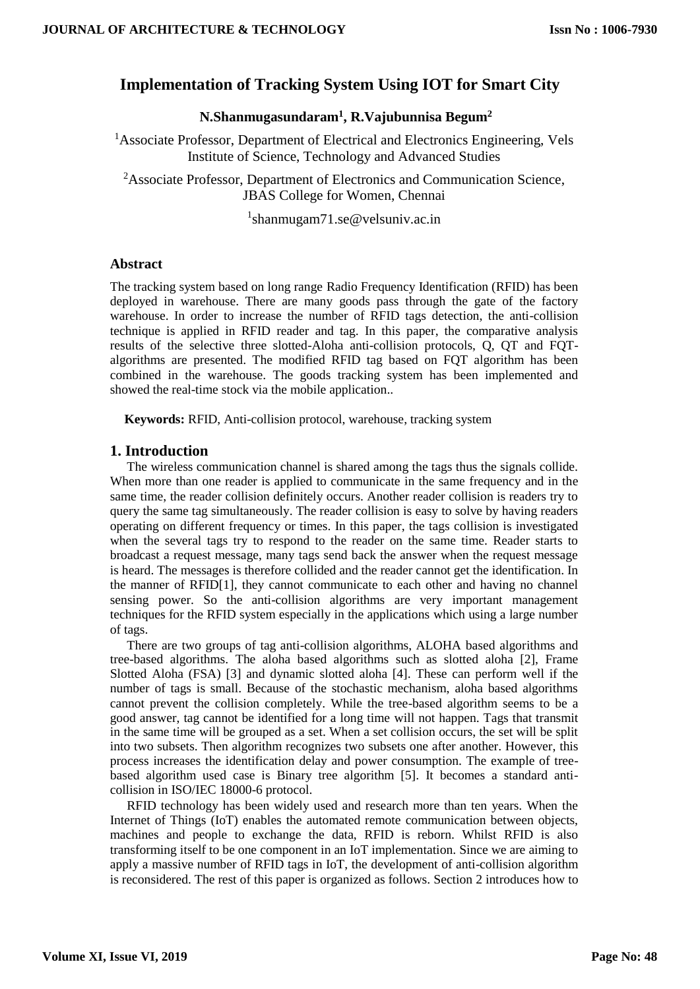# **Implementation of Tracking System Using IOT for Smart City**

## **N.Shanmugasundaram<sup>1</sup> , R.Vajubunnisa Begum<sup>2</sup>**

<sup>1</sup>Associate Professor, Department of Electrical and Electronics Engineering, Vels Institute of Science, Technology and Advanced Studies

<sup>2</sup>Associate Professor, Department of Electronics and Communication Science, JBAS College for Women, Chennai

1 shanmugam71.se@velsuniv.ac.in

### **Abstract**

The tracking system based on long range Radio Frequency Identification (RFID) has been deployed in warehouse. There are many goods pass through the gate of the factory warehouse. In order to increase the number of RFID tags detection, the anti-collision technique is applied in RFID reader and tag. In this paper, the comparative analysis results of the selective three slotted-Aloha anti-collision protocols, Q, QT and FQTalgorithms are presented. The modified RFID tag based on FQT algorithm has been combined in the warehouse. The goods tracking system has been implemented and showed the real-time stock via the mobile application..

**Keywords:** RFID, Anti-collision protocol, warehouse, tracking system

## **1. Introduction**

The wireless communication channel is shared among the tags thus the signals collide. When more than one reader is applied to communicate in the same frequency and in the same time, the reader collision definitely occurs. Another reader collision is readers try to query the same tag simultaneously. The reader collision is easy to solve by having readers operating on different frequency or times. In this paper, the tags collision is investigated when the several tags try to respond to the reader on the same time. Reader starts to broadcast a request message, many tags send back the answer when the request message is heard. The messages is therefore collided and the reader cannot get the identification. In the manner of RFID[1], they cannot communicate to each other and having no channel sensing power. So the anti-collision algorithms are very important management techniques for the RFID system especially in the applications which using a large number of tags.

There are two groups of tag anti-collision algorithms, ALOHA based algorithms and tree-based algorithms. The aloha based algorithms such as slotted aloha [2], Frame Slotted Aloha (FSA) [3] and dynamic slotted aloha [4]. These can perform well if the number of tags is small. Because of the stochastic mechanism, aloha based algorithms cannot prevent the collision completely. While the tree-based algorithm seems to be a good answer, tag cannot be identified for a long time will not happen. Tags that transmit in the same time will be grouped as a set. When a set collision occurs, the set will be split into two subsets. Then algorithm recognizes two subsets one after another. However, this process increases the identification delay and power consumption. The example of treebased algorithm used case is Binary tree algorithm [5]. It becomes a standard anticollision in ISO/IEC 18000-6 protocol.

RFID technology has been widely used and research more than ten years. When the Internet of Things (IoT) enables the automated remote communication between objects, machines and people to exchange the data, RFID is reborn. Whilst RFID is also transforming itself to be one component in an IoT implementation. Since we are aiming to apply a massive number of RFID tags in IoT, the development of anti-collision algorithm is reconsidered. The rest of this paper is organized as follows. Section 2 introduces how to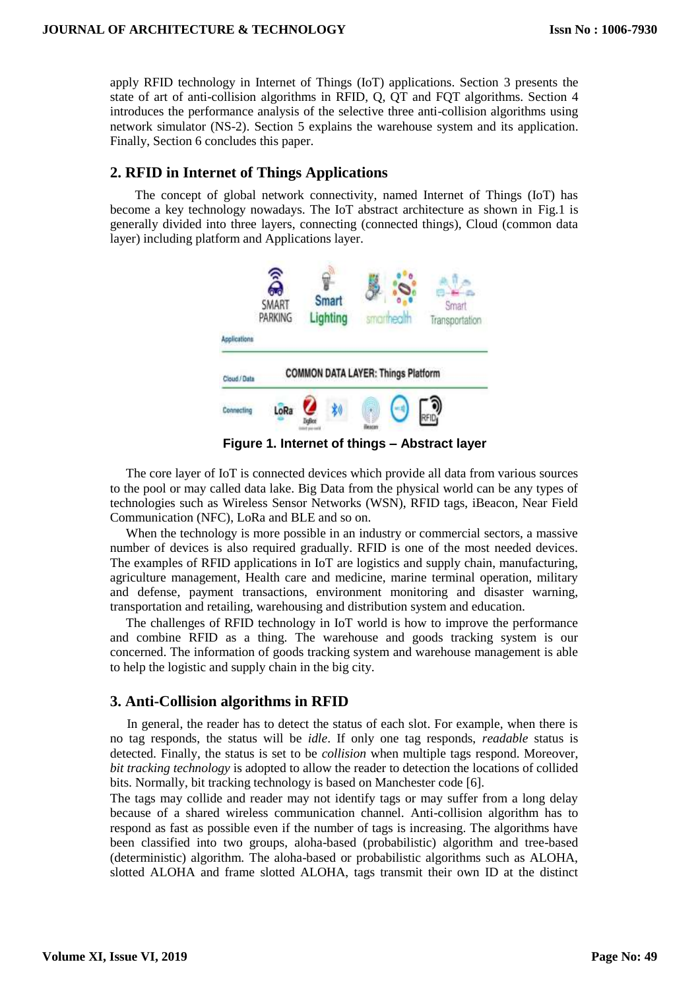apply RFID technology in Internet of Things (IoT) applications. Section 3 presents the state of art of anti-collision algorithms in RFID, Q, QT and FQT algorithms. Section 4 introduces the performance analysis of the selective three anti-collision algorithms using network simulator (NS-2). Section 5 explains the warehouse system and its application. Finally, Section 6 concludes this paper.

# **2. RFID in Internet of Things Applications**

The concept of global network connectivity, named Internet of Things (IoT) has become a key technology nowadays. The IoT abstract architecture as shown in Fig.1 is generally divided into three layers, connecting (connected things), Cloud (common data layer) including platform and Applications layer.



**Figure 1. Internet of things – Abstract layer**

The core layer of IoT is connected devices which provide all data from various sources to the pool or may called data lake. Big Data from the physical world can be any types of technologies such as Wireless Sensor Networks (WSN), RFID tags, iBeacon, Near Field Communication (NFC), LoRa and BLE and so on.

When the technology is more possible in an industry or commercial sectors, a massive number of devices is also required gradually. RFID is one of the most needed devices. The examples of RFID applications in IoT are logistics and supply chain, manufacturing, agriculture management, Health care and medicine, marine terminal operation, military and defense, payment transactions, environment monitoring and disaster warning, transportation and retailing, warehousing and distribution system and education.

The challenges of RFID technology in IoT world is how to improve the performance and combine RFID as a thing. The warehouse and goods tracking system is our concerned. The information of goods tracking system and warehouse management is able to help the logistic and supply chain in the big city.

# **3. Anti-Collision algorithms in RFID**

In general, the reader has to detect the status of each slot. For example, when there is no tag responds, the status will be *idle*. If only one tag responds, *readable* status is detected. Finally, the status is set to be *collision* when multiple tags respond. Moreover, *bit tracking technology* is adopted to allow the reader to detection the locations of collided bits. Normally, bit tracking technology is based on Manchester code [6].

The tags may collide and reader may not identify tags or may suffer from a long delay because of a shared wireless communication channel. Anti-collision algorithm has to respond as fast as possible even if the number of tags is increasing. The algorithms have been classified into two groups, aloha-based (probabilistic) algorithm and tree-based (deterministic) algorithm. The aloha-based or probabilistic algorithms such as ALOHA, slotted ALOHA and frame slotted ALOHA, tags transmit their own ID at the distinct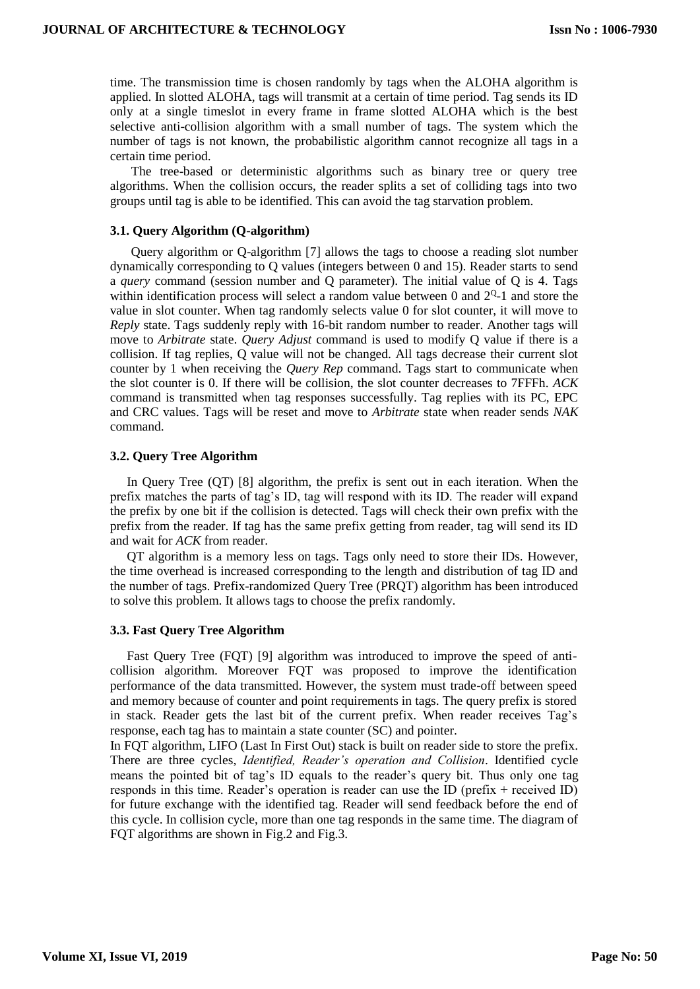time. The transmission time is chosen randomly by tags when the ALOHA algorithm is applied. In slotted ALOHA, tags will transmit at a certain of time period. Tag sends its ID only at a single timeslot in every frame in frame slotted ALOHA which is the best selective anti-collision algorithm with a small number of tags. The system which the number of tags is not known, the probabilistic algorithm cannot recognize all tags in a certain time period.

The tree-based or deterministic algorithms such as binary tree or query tree algorithms. When the collision occurs, the reader splits a set of colliding tags into two groups until tag is able to be identified. This can avoid the tag starvation problem.

#### **3.1. Query Algorithm (Q-algorithm)**

Query algorithm or Q-algorithm [7] allows the tags to choose a reading slot number dynamically corresponding to Q values (integers between 0 and 15). Reader starts to send a *query* command (session number and Q parameter). The initial value of Q is 4. Tags within identification process will select a random value between 0 and  $2<sup>Q</sup>$ -1 and store the value in slot counter. When tag randomly selects value 0 for slot counter, it will move to *Reply* state. Tags suddenly reply with 16-bit random number to reader. Another tags will move to *Arbitrate* state. *Query Adjust* command is used to modify Q value if there is a collision. If tag replies, Q value will not be changed. All tags decrease their current slot counter by 1 when receiving the *Query Rep* command. Tags start to communicate when the slot counter is 0. If there will be collision, the slot counter decreases to 7FFFh. *ACK* command is transmitted when tag responses successfully. Tag replies with its PC, EPC and CRC values. Tags will be reset and move to *Arbitrate* state when reader sends *NAK*  command.

### **3.2. Query Tree Algorithm**

In Query Tree (QT) [8] algorithm, the prefix is sent out in each iteration. When the prefix matches the parts of tag's ID, tag will respond with its ID. The reader will expand the prefix by one bit if the collision is detected. Tags will check their own prefix with the prefix from the reader. If tag has the same prefix getting from reader, tag will send its ID and wait for *ACK* from reader.

QT algorithm is a memory less on tags. Tags only need to store their IDs. However, the time overhead is increased corresponding to the length and distribution of tag ID and the number of tags. Prefix-randomized Query Tree (PRQT) algorithm has been introduced to solve this problem. It allows tags to choose the prefix randomly.

#### **3.3. Fast Query Tree Algorithm**

Fast Query Tree (FQT) [9] algorithm was introduced to improve the speed of anticollision algorithm. Moreover FQT was proposed to improve the identification performance of the data transmitted. However, the system must trade-off between speed and memory because of counter and point requirements in tags. The query prefix is stored in stack. Reader gets the last bit of the current prefix. When reader receives Tag's response, each tag has to maintain a state counter (SC) and pointer.

In FQT algorithm, LIFO (Last In First Out) stack is built on reader side to store the prefix. There are three cycles, *Identified, Reader's operation and Collision*. Identified cycle means the pointed bit of tag's ID equals to the reader's query bit. Thus only one tag responds in this time. Reader's operation is reader can use the ID (prefix + received ID) for future exchange with the identified tag. Reader will send feedback before the end of this cycle. In collision cycle, more than one tag responds in the same time. The diagram of FQT algorithms are shown in Fig.2 and Fig.3.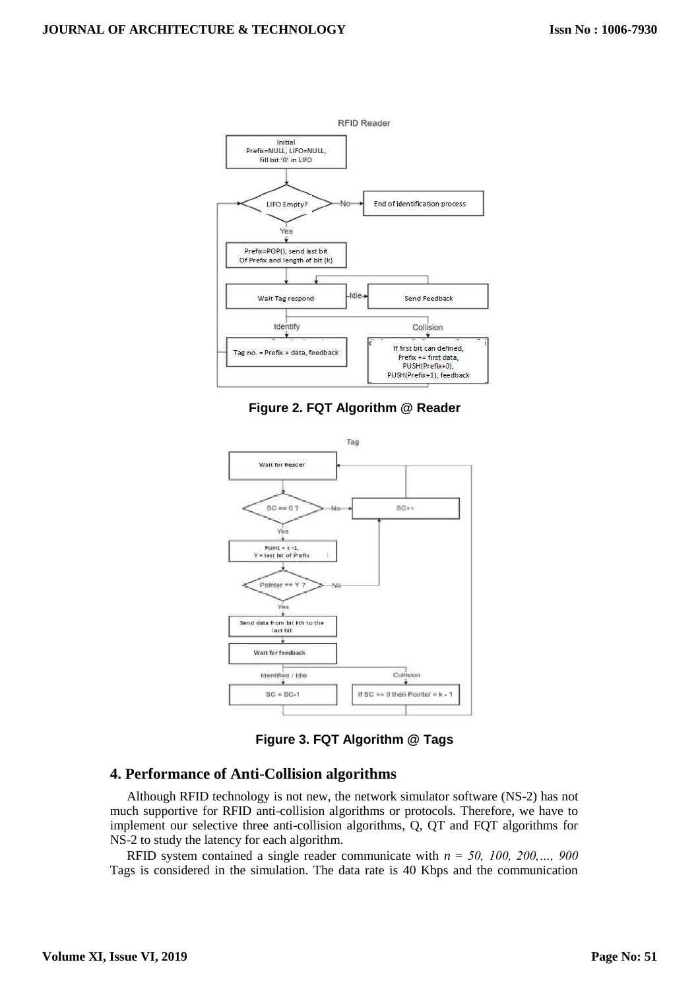

**Figure 2. FQT Algorithm @ Reader**



**Figure 3. FQT Algorithm @ Tags**

## **4. Performance of Anti-Collision algorithms**

Although RFID technology is not new, the network simulator software (NS-2) has not much supportive for RFID anti-collision algorithms or protocols. Therefore, we have to implement our selective three anti-collision algorithms, Q, QT and FQT algorithms for NS-2 to study the latency for each algorithm.

RFID system contained a single reader communicate with *n* = *50, 100, 200,…, 900* Tags is considered in the simulation. The data rate is 40 Kbps and the communication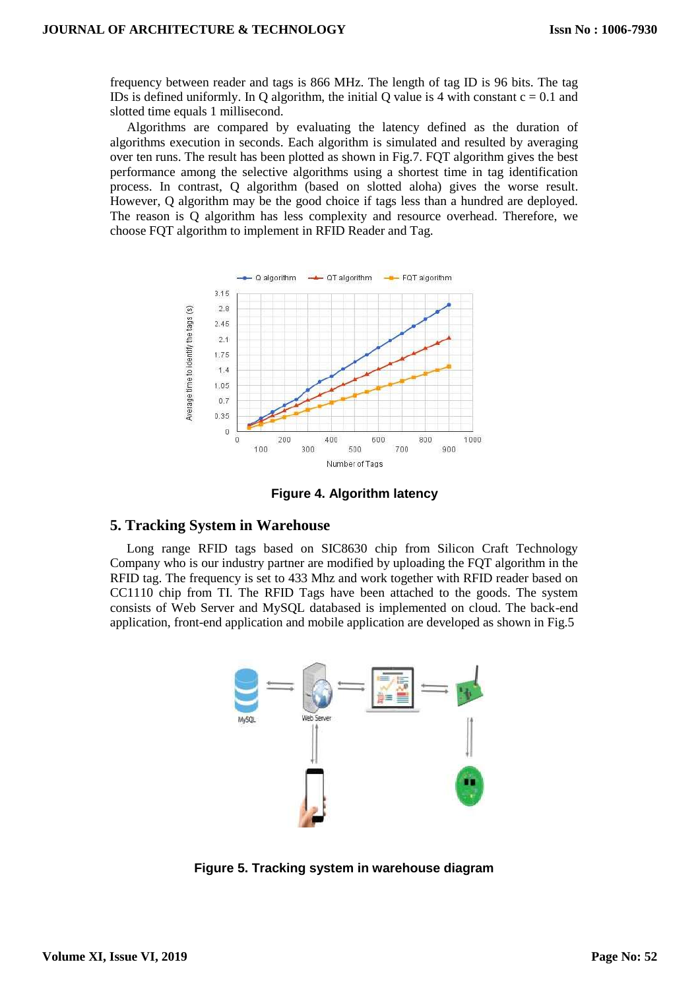frequency between reader and tags is 866 MHz. The length of tag ID is 96 bits. The tag IDs is defined uniformly. In O algorithm, the initial O value is 4 with constant  $c = 0.1$  and slotted time equals 1 millisecond.

Algorithms are compared by evaluating the latency defined as the duration of algorithms execution in seconds. Each algorithm is simulated and resulted by averaging over ten runs. The result has been plotted as shown in Fig.7. FQT algorithm gives the best performance among the selective algorithms using a shortest time in tag identification process. In contrast, Q algorithm (based on slotted aloha) gives the worse result. However, Q algorithm may be the good choice if tags less than a hundred are deployed. The reason is Q algorithm has less complexity and resource overhead. Therefore, we choose FQT algorithm to implement in RFID Reader and Tag.



**Figure 4. Algorithm latency**

## **5. Tracking System in Warehouse**

Long range RFID tags based on SIC8630 chip from Silicon Craft Technology Company who is our industry partner are modified by uploading the FQT algorithm in the RFID tag. The frequency is set to 433 Mhz and work together with RFID reader based on CC1110 chip from TI. The RFID Tags have been attached to the goods. The system consists of Web Server and MySQL databased is implemented on cloud. The back-end application, front-end application and mobile application are developed as shown in Fig.5



**Figure 5. Tracking system in warehouse diagram**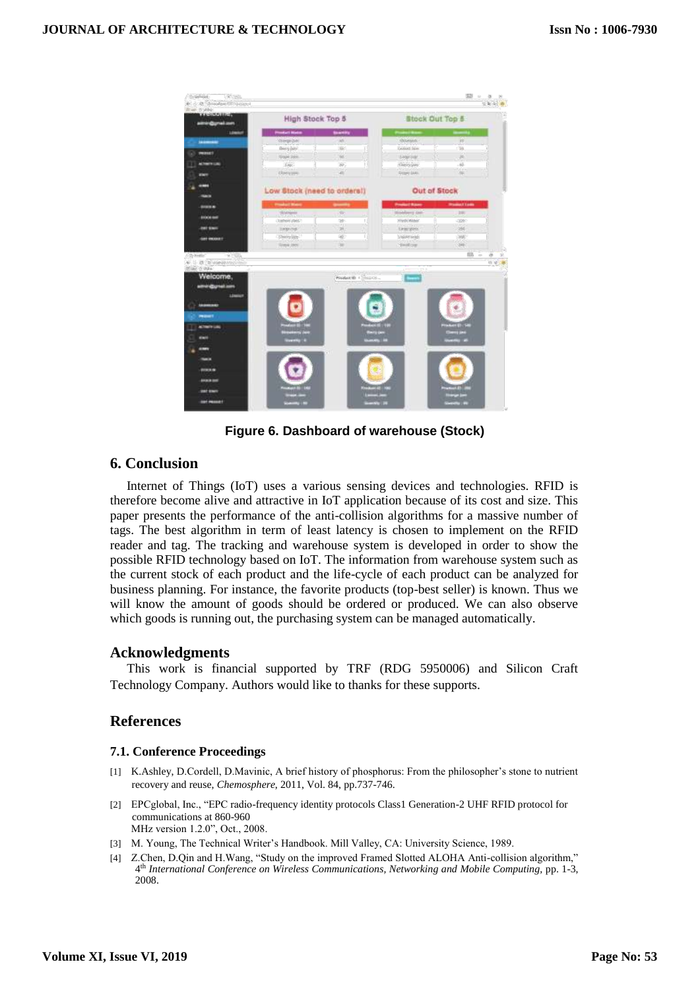

**Figure 6. Dashboard of warehouse (Stock)**

# **6. Conclusion**

Internet of Things (IoT) uses a various sensing devices and technologies. RFID is therefore become alive and attractive in IoT application because of its cost and size. This paper presents the performance of the anti-collision algorithms for a massive number of tags. The best algorithm in term of least latency is chosen to implement on the RFID reader and tag. The tracking and warehouse system is developed in order to show the possible RFID technology based on IoT. The information from warehouse system such as the current stock of each product and the life-cycle of each product can be analyzed for business planning. For instance, the favorite products (top-best seller) is known. Thus we will know the amount of goods should be ordered or produced. We can also observe which goods is running out, the purchasing system can be managed automatically.

### **Acknowledgments**

This work is financial supported by TRF (RDG 5950006) and Silicon Craft Technology Company. Authors would like to thanks for these supports.

## **References**

### **7.1. Conference Proceedings**

- [1] K.Ashley, D.Cordell, D.Mavinic, A brief history of phosphorus: From the philosopher's stone to nutrient recovery and reuse, *Chemosphere*, 2011, Vol. 84, pp.737-746.
- [2] EPCglobal, Inc., "EPC radio-frequency identity protocols Class1 Generation-2 UHF RFID protocol for communications at 860-960 MHz version 1.2.0", Oct., 2008.
- [3] M. Young, The Technical Writer's Handbook. Mill Valley, CA: University Science, 1989.
- [4] Z.Chen, D.Qin and H.Wang, "Study on the improved Framed Slotted ALOHA Anti-collision algorithm," 4 th *International Conference on Wireless Communications, Networking and Mobile Computing,* pp. 1-3, 2008.